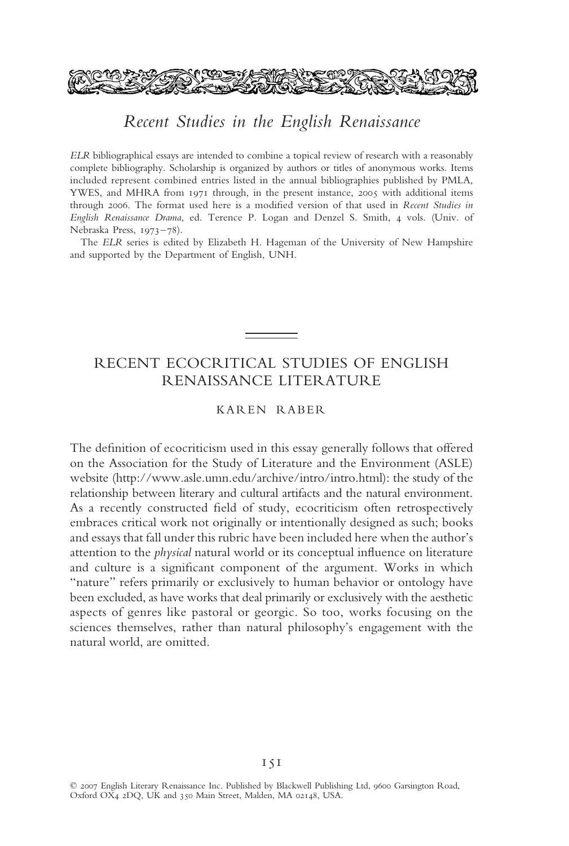

# Recent Studies in the English Renaissance

ELR bibliographical essays are intended to combine a topical review of research with a reasonably complete bibliography. Scholarship is organized by authors or titles of anonymous works. Items included represent combined entries listed in the annual bibliographies published by PMLA, YWES, and MHRA from 1971 through, in the present instance, 2005 with additional items through 2006. The format used here is a modified version of that used in *Recent Studies in English Renaissance Drama*, ed. Terence P. Logan and Denzel S. Smith, 4 vols. (Univ. of Nebraska Press, 1973–78).

The *ELR* series is edited by Elizabeth H. Hageman of the University of New Hampshire and supported by the Department of English, UNH.

# RECENT ECOCRITICAL STUDIES OF ENGLISH RENAISSANCE LITERATURE

### KAREN RABER

The definition of ecocriticism used in this essay generally follows that offered on the Association for the Study of Literature and the Environment (ASLE) website (http://www.asle.umn.edu/archive/intro/intro.html): the study of the relationship between literary and cultural artifacts and the natural environment. As a recently constructed field of study, ecocriticism often retrospectively embraces critical work not originally or intentionally designed as such; books and essays that fall under this rubric have been included here when the author's attention to the *physical* natural world or its conceptual influence on literature and culture is a significant component of the argument. Works in which "nature" refers primarily or exclusively to human behavior or ontology have been excluded, as have works that deal primarily or exclusively with the aesthetic aspects of genres like pastoral or georgic. So too, works focusing on the sciences themselves, rather than natural philosophy's engagement with the natural world, are omitted.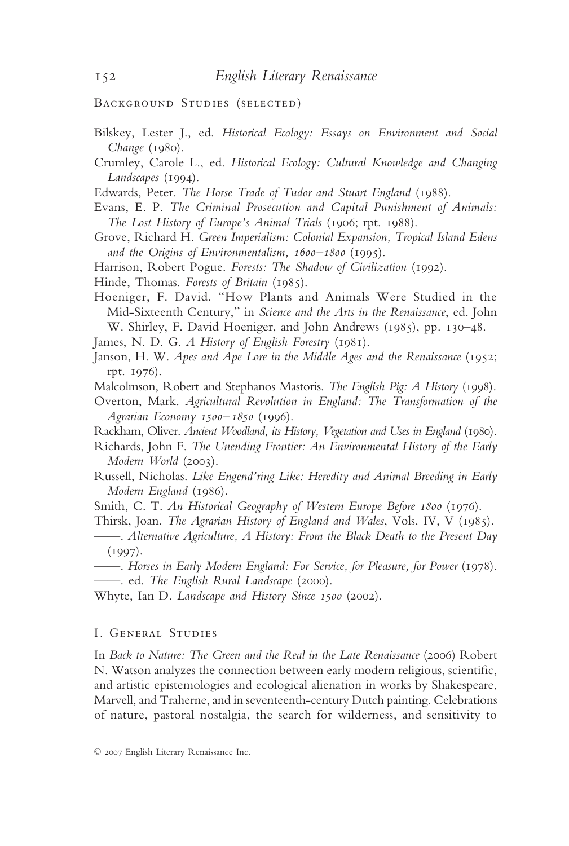Background Studies (selected)

- Bilskey, Lester J., ed. *Historical Ecology: Essays on Environment and Social Change* (1980).
- Crumley, Carole L., ed. *Historical Ecology: Cultural Knowledge and Changing Landscapes* (1994).
- Edwards, Peter. *The Horse Trade of Tudor and Stuart England* (1988).
- Evans, E. P. *The Criminal Prosecution and Capital Punishment of Animals: The Lost History of Europe's Animal Trials* (1906; rpt. 1988).
- Grove, Richard H. *Green Imperialism: Colonial Expansion, Tropical Island Edens and the Origins of Environmentalism, 1600–1800* (1995).
- Harrison, Robert Pogue. *Forests: The Shadow of Civilization* (1992).
- Hinde, Thomas. *Forests of Britain* (1985).
- Hoeniger, F. David. "How Plants and Animals Were Studied in the Mid-Sixteenth Century," in *Science and the Arts in the Renaissance*, ed. John W. Shirley, F. David Hoeniger, and John Andrews (1985), pp. 130–48.
- James, N. D. G. *A History of English Forestry* (1981).
- Janson, H. W. *Apes and Ape Lore in the Middle Ages and the Renaissance* (1952; rpt. 1976).
- Malcolmson, Robert and Stephanos Mastoris. *The English Pig: A History* (1998).
- Overton, Mark. *Agricultural Revolution in England: The Transformation of the Agrarian Economy 1500–1850* (1996).
- Rackham, Oliver. *Ancient Woodland, its History, Vegetation and Uses in England* (1980).
- Richards, John F. *The Unending Frontier: An Environmental History of the Early Modern World* (2003).
- Russell, Nicholas. *Like Engend'ring Like: Heredity and Animal Breeding in Early Modern England* (1986).
- Smith, C. T. *An Historical Geography of Western Europe Before 1800* (1976).
- Thirsk, Joan. *The Agrarian History of England and Wales*, Vols. IV, V (1985).
- ——. *Alternative Agriculture, A History: From the Black Death to the Present Day*  $(1997)$ .
- ——. *Horses in Early Modern England: For Service, for Pleasure, for Power* (1978). ——. ed. *The English Rural Landscape* (2000).
- Whyte, Ian D. *Landscape and History Since 1500* (2002).

#### I. General Studies

In *Back to Nature: The Green and the Real in the Late Renaissance* (2006) Robert N. Watson analyzes the connection between early modern religious, scientific, and artistic epistemologies and ecological alienation in works by Shakespeare, Marvell, and Traherne, and in seventeenth-century Dutch painting. Celebrations of nature, pastoral nostalgia, the search for wilderness, and sensitivity to

<sup>© 2007</sup> English Literary Renaissance Inc.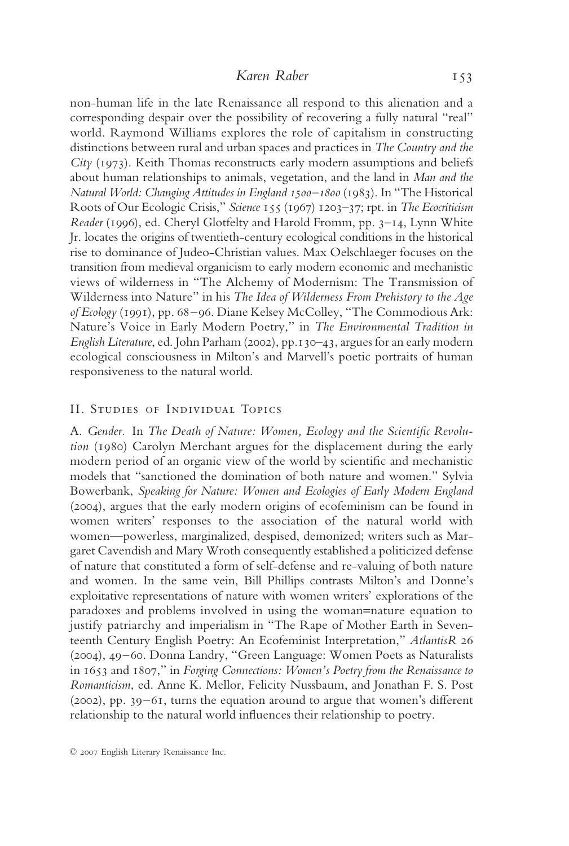non-human life in the late Renaissance all respond to this alienation and a corresponding despair over the possibility of recovering a fully natural "real" world. Raymond Williams explores the role of capitalism in constructing distinctions between rural and urban spaces and practices in *The Country and the City* (1973). Keith Thomas reconstructs early modern assumptions and beliefs about human relationships to animals, vegetation, and the land in *Man and the Natural World: Changing Attitudes in England 1500–1800* (1983). In "The Historical Roots of Our Ecologic Crisis," *Science* 155 (1967) 1203–37; rpt. in *The Ecocriticism Reader* (1996), ed. Cheryl Glotfelty and Harold Fromm, pp. 3–14, Lynn White Jr. locates the origins of twentieth-century ecological conditions in the historical rise to dominance of Judeo-Christian values. Max Oelschlaeger focuses on the transition from medieval organicism to early modern economic and mechanistic views of wilderness in "The Alchemy of Modernism: The Transmission of Wilderness into Nature" in his *The Idea of Wilderness From Prehistory to the Age of Ecology* (1991), pp. 68–96. Diane Kelsey McColley, "The Commodious Ark: Nature's Voice in Early Modern Poetry," in *The Environmental Tradition in English Literature*, ed. John Parham (2002), pp.130–43, argues for an early modern ecological consciousness in Milton's and Marvell's poetic portraits of human responsiveness to the natural world.

### II. Studies of Individual Topics

A. *Gender.* In *The Death of Nature: Women, Ecology and the Scientific Revolution* (1980) Carolyn Merchant argues for the displacement during the early modern period of an organic view of the world by scientific and mechanistic models that "sanctioned the domination of both nature and women." Sylvia Bowerbank, *Speaking for Nature: Women and Ecologies of Early Modern England* (2004), argues that the early modern origins of ecofeminism can be found in women writers' responses to the association of the natural world with women—powerless, marginalized, despised, demonized; writers such as Margaret Cavendish and Mary Wroth consequently established a politicized defense of nature that constituted a form of self-defense and re-valuing of both nature and women. In the same vein, Bill Phillips contrasts Milton's and Donne's exploitative representations of nature with women writers' explorations of the paradoxes and problems involved in using the woman=nature equation to justify patriarchy and imperialism in "The Rape of Mother Earth in Seventeenth Century English Poetry: An Ecofeminist Interpretation," *AtlantisR* 26 (2004), 49–60. Donna Landry, "Green Language: Women Poets as Naturalists in 1653 and 1807," in *Forging Connections: Women's Poetry from the Renaissance to Romanticism*, ed. Anne K. Mellor, Felicity Nussbaum, and Jonathan F. S. Post (2002), pp. 39–61, turns the equation around to argue that women's different relationship to the natural world influences their relationship to poetry.

<sup>© 2007</sup> English Literary Renaissance Inc.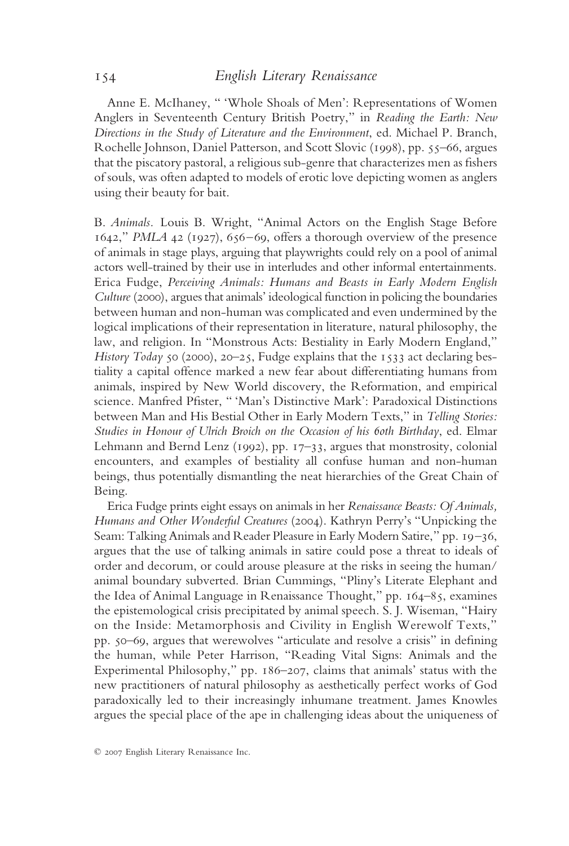Anne E. McIhaney, " 'Whole Shoals of Men': Representations of Women Anglers in Seventeenth Century British Poetry," in *Reading the Earth: New Directions in the Study of Literature and the Environment*, ed. Michael P. Branch, Rochelle Johnson, Daniel Patterson, and Scott Slovic (1998), pp. 55–66, argues that the piscatory pastoral, a religious sub-genre that characterizes men as fishers of souls, was often adapted to models of erotic love depicting women as anglers using their beauty for bait.

B. *Animals.* Louis B. Wright, "Animal Actors on the English Stage Before 1642," *PMLA* 42 (1927), 656–69, offers a thorough overview of the presence of animals in stage plays, arguing that playwrights could rely on a pool of animal actors well-trained by their use in interludes and other informal entertainments. Erica Fudge, *Perceiving Animals: Humans and Beasts in Early Modern English Culture* (2000), argues that animals' ideological function in policing the boundaries between human and non-human was complicated and even undermined by the logical implications of their representation in literature, natural philosophy, the law, and religion. In "Monstrous Acts: Bestiality in Early Modern England," *History Today* 50 (2000), 20–25, Fudge explains that the 1533 act declaring bestiality a capital offence marked a new fear about differentiating humans from animals, inspired by New World discovery, the Reformation, and empirical science. Manfred Pfister, " 'Man's Distinctive Mark': Paradoxical Distinctions between Man and His Bestial Other in Early Modern Texts," in *Telling Stories: Studies in Honour of Ulrich Broich on the Occasion of his 60th Birthday*, ed. Elmar Lehmann and Bernd Lenz (1992), pp. 17–33, argues that monstrosity, colonial encounters, and examples of bestiality all confuse human and non-human beings, thus potentially dismantling the neat hierarchies of the Great Chain of Being.

Erica Fudge prints eight essays on animals in her *Renaissance Beasts: Of Animals, Humans and Other Wonderful Creatures* (2004). Kathryn Perry's "Unpicking the Seam: Talking Animals and Reader Pleasure in Early Modern Satire," pp. 19–36, argues that the use of talking animals in satire could pose a threat to ideals of order and decorum, or could arouse pleasure at the risks in seeing the human/ animal boundary subverted. Brian Cummings, "Pliny's Literate Elephant and the Idea of Animal Language in Renaissance Thought," pp. 164–85, examines the epistemological crisis precipitated by animal speech. S. J. Wiseman, "Hairy on the Inside: Metamorphosis and Civility in English Werewolf Texts," pp. 50–69, argues that werewolves "articulate and resolve a crisis" in defining the human, while Peter Harrison, "Reading Vital Signs: Animals and the Experimental Philosophy," pp. 186–207, claims that animals' status with the new practitioners of natural philosophy as aesthetically perfect works of God paradoxically led to their increasingly inhumane treatment. James Knowles argues the special place of the ape in challenging ideas about the uniqueness of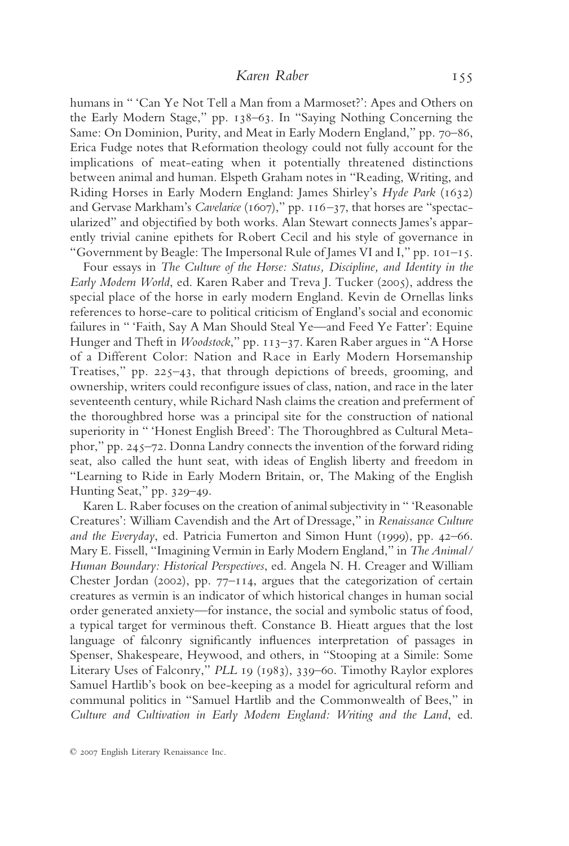# *Karen Raber* 155

humans in " 'Can Ye Not Tell a Man from a Marmoset?': Apes and Others on the Early Modern Stage," pp. 138–63. In "Saying Nothing Concerning the Same: On Dominion, Purity, and Meat in Early Modern England," pp. 70–86, Erica Fudge notes that Reformation theology could not fully account for the implications of meat-eating when it potentially threatened distinctions between animal and human. Elspeth Graham notes in "Reading, Writing, and Riding Horses in Early Modern England: James Shirley's *Hyde Park* (1632) and Gervase Markham's *Cavelarice* (1607)," pp. 116-37, that horses are "spectacularized" and objectified by both works. Alan Stewart connects James's apparently trivial canine epithets for Robert Cecil and his style of governance in "Government by Beagle: The Impersonal Rule of James VI and I," pp. 101–15.

Four essays in *The Culture of the Horse: Status, Discipline, and Identity in the Early Modern World*, ed. Karen Raber and Treva J. Tucker (2005), address the special place of the horse in early modern England. Kevin de Ornellas links references to horse-care to political criticism of England's social and economic failures in " 'Faith, Say A Man Should Steal Ye—and Feed Ye Fatter': Equine Hunger and Theft in *Woodstock*," pp. 113–37. Karen Raber argues in "A Horse of a Different Color: Nation and Race in Early Modern Horsemanship Treatises," pp. 225–43, that through depictions of breeds, grooming, and ownership, writers could reconfigure issues of class, nation, and race in the later seventeenth century, while Richard Nash claims the creation and preferment of the thoroughbred horse was a principal site for the construction of national superiority in "'Honest English Breed': The Thoroughbred as Cultural Metaphor," pp. 245–72. Donna Landry connects the invention of the forward riding seat, also called the hunt seat, with ideas of English liberty and freedom in "Learning to Ride in Early Modern Britain, or, The Making of the English Hunting Seat," pp. 329–49.

Karen L. Raber focuses on the creation of animal subjectivity in " 'Reasonable Creatures': William Cavendish and the Art of Dressage," in *Renaissance Culture and the Everyday*, ed. Patricia Fumerton and Simon Hunt (1999), pp. 42–66. Mary E. Fissell, "Imagining Vermin in Early Modern England," in *The Animal/ Human Boundary: Historical Perspectives*, ed. Angela N. H. Creager and William Chester Jordan (2002), pp. 77–114, argues that the categorization of certain creatures as vermin is an indicator of which historical changes in human social order generated anxiety—for instance, the social and symbolic status of food, a typical target for verminous theft. Constance B. Hieatt argues that the lost language of falconry significantly influences interpretation of passages in Spenser, Shakespeare, Heywood, and others, in "Stooping at a Simile: Some Literary Uses of Falconry," *PLL* 19 (1983), 339–60. Timothy Raylor explores Samuel Hartlib's book on bee-keeping as a model for agricultural reform and communal politics in "Samuel Hartlib and the Commonwealth of Bees," in *Culture and Cultivation in Early Modern England: Writing and the Land*, ed.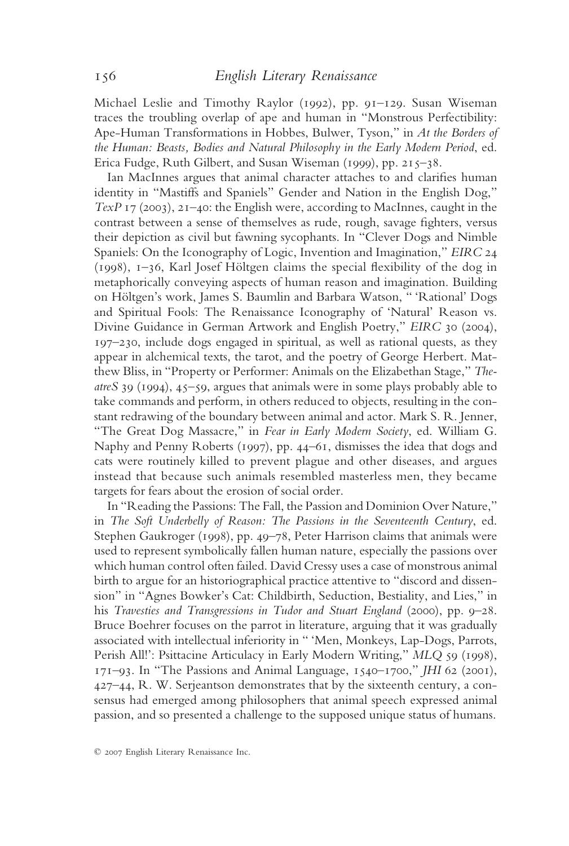Michael Leslie and Timothy Raylor (1992), pp. 91–129. Susan Wiseman traces the troubling overlap of ape and human in "Monstrous Perfectibility: Ape-Human Transformations in Hobbes, Bulwer, Tyson," in *At the Borders of the Human: Beasts, Bodies and Natural Philosophy in the Early Modern Period*, ed. Erica Fudge, Ruth Gilbert, and Susan Wiseman (1999), pp. 215–38.

Ian MacInnes argues that animal character attaches to and clarifies human identity in "Mastiffs and Spaniels" Gender and Nation in the English Dog," *TexP* 17 (2003), 21–40: the English were, according to MacInnes, caught in the contrast between a sense of themselves as rude, rough, savage fighters, versus their depiction as civil but fawning sycophants. In "Clever Dogs and Nimble Spaniels: On the Iconography of Logic, Invention and Imagination," *EIRC* 24 (1998), 1–36, Karl Josef Höltgen claims the special flexibility of the dog in metaphorically conveying aspects of human reason and imagination. Building on Höltgen's work, James S. Baumlin and Barbara Watson, " 'Rational' Dogs and Spiritual Fools: The Renaissance Iconography of 'Natural' Reason vs. Divine Guidance in German Artwork and English Poetry," *EIRC* 30 (2004), 197–230, include dogs engaged in spiritual, as well as rational quests, as they appear in alchemical texts, the tarot, and the poetry of George Herbert. Matthew Bliss, in "Property or Performer: Animals on the Elizabethan Stage," *TheatreS* 39 (1994), 45–59, argues that animals were in some plays probably able to take commands and perform, in others reduced to objects, resulting in the constant redrawing of the boundary between animal and actor. Mark S. R. Jenner, "The Great Dog Massacre," in *Fear in Early Modern Society*, ed. William G. Naphy and Penny Roberts (1997), pp. 44–61, dismisses the idea that dogs and cats were routinely killed to prevent plague and other diseases, and argues instead that because such animals resembled masterless men, they became targets for fears about the erosion of social order.

In "Reading the Passions: The Fall, the Passion and Dominion Over Nature," in *The Soft Underbelly of Reason: The Passions in the Seventeenth Century*, ed. Stephen Gaukroger (1998), pp. 49–78, Peter Harrison claims that animals were used to represent symbolically fallen human nature, especially the passions over which human control often failed. David Cressy uses a case of monstrous animal birth to argue for an historiographical practice attentive to "discord and dissension" in "Agnes Bowker's Cat: Childbirth, Seduction, Bestiality, and Lies," in his *Travesties and Transgressions in Tudor and Stuart England* (2000), pp. 9–28. Bruce Boehrer focuses on the parrot in literature, arguing that it was gradually associated with intellectual inferiority in " 'Men, Monkeys, Lap-Dogs, Parrots, Perish All!': Psittacine Articulacy in Early Modern Writing," *MLQ* 59 (1998), 171–93. In "The Passions and Animal Language, 1540–1700," *JHI* 62 (2001), 427–44, R. W. Serjeantson demonstrates that by the sixteenth century, a consensus had emerged among philosophers that animal speech expressed animal passion, and so presented a challenge to the supposed unique status of humans.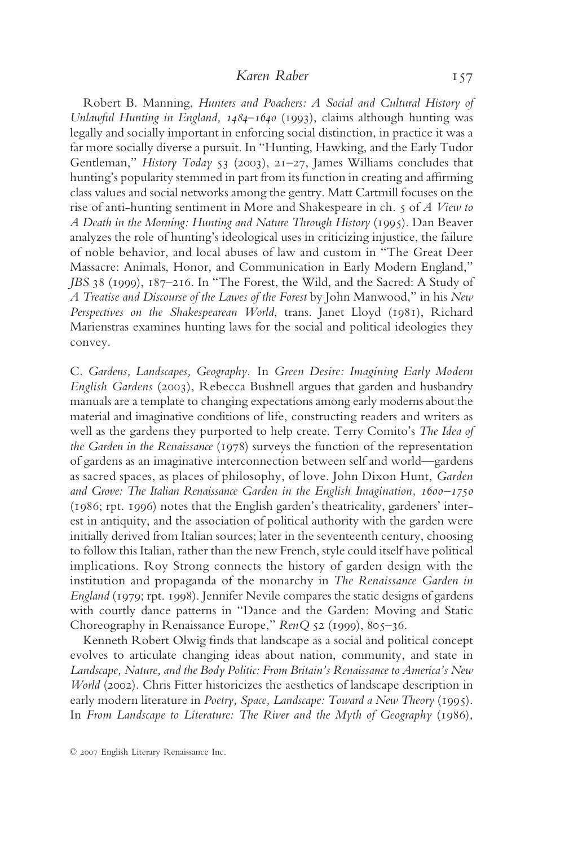# *Karen Raber* 157

Robert B. Manning, *Hunters and Poachers: A Social and Cultural History of Unlawful Hunting in England, 1484–1640* (1993), claims although hunting was legally and socially important in enforcing social distinction, in practice it was a far more socially diverse a pursuit. In "Hunting, Hawking, and the Early Tudor Gentleman," *History Today* 53 (2003), 21–27, James Williams concludes that hunting's popularity stemmed in part from its function in creating and affirming class values and social networks among the gentry. Matt Cartmill focuses on the rise of anti-hunting sentiment in More and Shakespeare in ch. 5 of *A View to A Death in the Morning: Hunting and Nature Through History* (1995). Dan Beaver analyzes the role of hunting's ideological uses in criticizing injustice, the failure of noble behavior, and local abuses of law and custom in "The Great Deer Massacre: Animals, Honor, and Communication in Early Modern England," *JBS* 38 (1999), 187–216. In "The Forest, the Wild, and the Sacred: A Study of *A Treatise and Discourse of the Lawes of the Forest* by John Manwood," in his *New Perspectives on the Shakespearean World*, trans. Janet Lloyd (1981), Richard Marienstras examines hunting laws for the social and political ideologies they convey.

C. *Gardens, Landscapes, Geography.* In *Green Desire: Imagining Early Modern English Gardens* (2003), Rebecca Bushnell argues that garden and husbandry manuals are a template to changing expectations among early moderns about the material and imaginative conditions of life, constructing readers and writers as well as the gardens they purported to help create. Terry Comito's *The Idea of the Garden in the Renaissance* (1978) surveys the function of the representation of gardens as an imaginative interconnection between self and world—gardens as sacred spaces, as places of philosophy, of love. John Dixon Hunt, *Garden and Grove: The Italian Renaissance Garden in the English Imagination, 1600–1750* (1986; rpt. 1996) notes that the English garden's theatricality, gardeners' interest in antiquity, and the association of political authority with the garden were initially derived from Italian sources; later in the seventeenth century, choosing to follow this Italian, rather than the new French, style could itself have political implications. Roy Strong connects the history of garden design with the institution and propaganda of the monarchy in *The Renaissance Garden in England* (1979; rpt. 1998). Jennifer Nevile compares the static designs of gardens with courtly dance patterns in "Dance and the Garden: Moving and Static Choreography in Renaissance Europe," *RenQ* 52 (1999), 805–36.

Kenneth Robert Olwig finds that landscape as a social and political concept evolves to articulate changing ideas about nation, community, and state in *Landscape, Nature, and the Body Politic: From Britain's Renaissance to America's New World* (2002). Chris Fitter historicizes the aesthetics of landscape description in early modern literature in *Poetry, Space, Landscape: Toward a New Theory* (1995). In *From Landscape to Literature: The River and the Myth of Geography* (1986),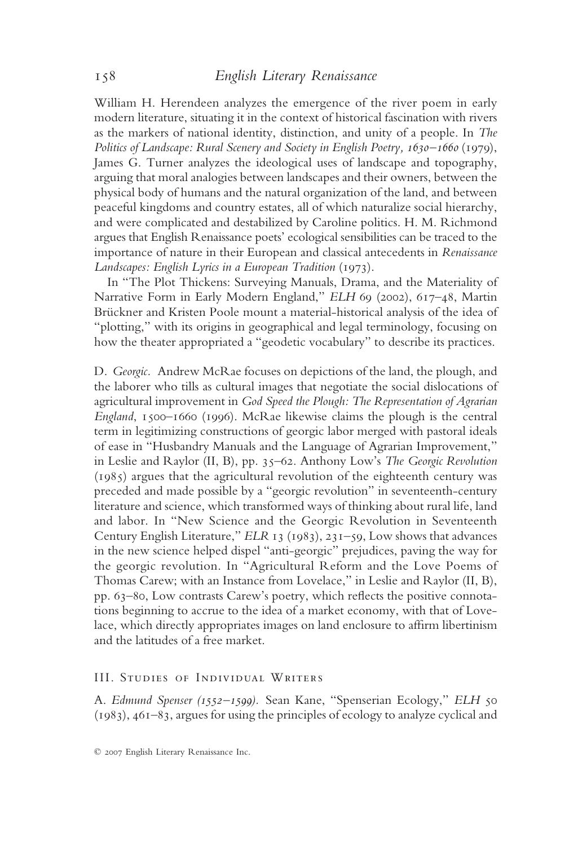William H. Herendeen analyzes the emergence of the river poem in early modern literature, situating it in the context of historical fascination with rivers as the markers of national identity, distinction, and unity of a people. In *The Politics of Landscape: Rural Scenery and Society in English Poetry, 1630–1660* (1979), James G. Turner analyzes the ideological uses of landscape and topography, arguing that moral analogies between landscapes and their owners, between the physical body of humans and the natural organization of the land, and between peaceful kingdoms and country estates, all of which naturalize social hierarchy, and were complicated and destabilized by Caroline politics. H. M. Richmond argues that English Renaissance poets' ecological sensibilities can be traced to the importance of nature in their European and classical antecedents in *Renaissance Landscapes: English Lyrics in a European Tradition* (1973).

In "The Plot Thickens: Surveying Manuals, Drama, and the Materiality of Narrative Form in Early Modern England," *ELH* 69 (2002), 617-48, Martin Brückner and Kristen Poole mount a material-historical analysis of the idea of "plotting," with its origins in geographical and legal terminology, focusing on how the theater appropriated a "geodetic vocabulary" to describe its practices.

D. *Georgic.* Andrew McRae focuses on depictions of the land, the plough, and the laborer who tills as cultural images that negotiate the social dislocations of agricultural improvement in *God Speed the Plough: The Representation of Agrarian England*, 1500–1660 (1996). McRae likewise claims the plough is the central term in legitimizing constructions of georgic labor merged with pastoral ideals of ease in "Husbandry Manuals and the Language of Agrarian Improvement," in Leslie and Raylor (II, B), pp. 35–62. Anthony Low's *The Georgic Revolution* (1985) argues that the agricultural revolution of the eighteenth century was preceded and made possible by a "georgic revolution" in seventeenth-century literature and science, which transformed ways of thinking about rural life, land and labor. In "New Science and the Georgic Revolution in Seventeenth Century English Literature," *ELR* 13 (1983), 231–59, Low shows that advances in the new science helped dispel "anti-georgic" prejudices, paving the way for the georgic revolution. In "Agricultural Reform and the Love Poems of Thomas Carew; with an Instance from Lovelace," in Leslie and Raylor (II, B), pp. 63–80, Low contrasts Carew's poetry, which reflects the positive connotations beginning to accrue to the idea of a market economy, with that of Lovelace, which directly appropriates images on land enclosure to affirm libertinism and the latitudes of a free market.

## III. Studies of Individual Writers

A. *Edmund Spenser (1552–1599).* Sean Kane, "Spenserian Ecology," *ELH* 50 (1983), 461–83, argues for using the principles of ecology to analyze cyclical and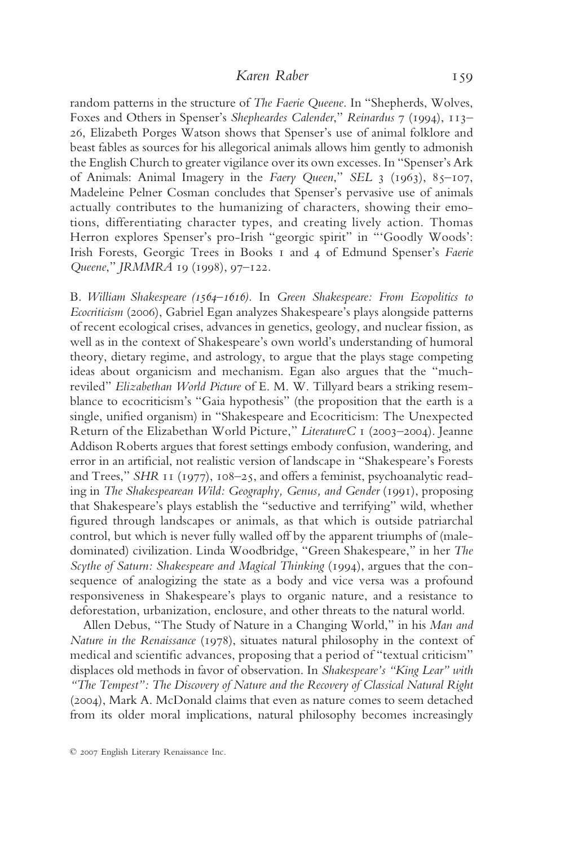# *Karen Raber* 159

random patterns in the structure of *The Faerie Queene*. In "Shepherds, Wolves, Foxes and Others in Spenser's *Shepheardes Calender*," *Reinardus* 7 (1994), 113– 26, Elizabeth Porges Watson shows that Spenser's use of animal folklore and beast fables as sources for his allegorical animals allows him gently to admonish the English Church to greater vigilance over its own excesses. In "Spenser's Ark of Animals: Animal Imagery in the *Faery Queen*," *SEL* 3 (1963), 85–107, Madeleine Pelner Cosman concludes that Spenser's pervasive use of animals actually contributes to the humanizing of characters, showing their emotions, differentiating character types, and creating lively action. Thomas Herron explores Spenser's pro-Irish "georgic spirit" in "'Goodly Woods': Irish Forests, Georgic Trees in Books 1 and 4 of Edmund Spenser's *Faerie Queene*," *JRMMRA* 19 (1998), 97–122.

B. *William Shakespeare (1564–1616).* In *Green Shakespeare: From Ecopolitics to Ecocriticism* (2006), Gabriel Egan analyzes Shakespeare's plays alongside patterns of recent ecological crises, advances in genetics, geology, and nuclear fission, as well as in the context of Shakespeare's own world's understanding of humoral theory, dietary regime, and astrology, to argue that the plays stage competing ideas about organicism and mechanism. Egan also argues that the "muchreviled" *Elizabethan World Picture* of E. M. W. Tillyard bears a striking resemblance to ecocriticism's "Gaia hypothesis" (the proposition that the earth is a single, unified organism) in "Shakespeare and Ecocriticism: The Unexpected Return of the Elizabethan World Picture," *LiteratureC* 1 (2003–2004). Jeanne Addison Roberts argues that forest settings embody confusion, wandering, and error in an artificial, not realistic version of landscape in "Shakespeare's Forests and Trees," *SHR* 11 (1977), 108–25, and offers a feminist, psychoanalytic reading in *The Shakespearean Wild: Geography, Genus, and Gender* (1991), proposing that Shakespeare's plays establish the "seductive and terrifying" wild, whether figured through landscapes or animals, as that which is outside patriarchal control, but which is never fully walled off by the apparent triumphs of (maledominated) civilization. Linda Woodbridge, "Green Shakespeare," in her *The Scythe of Saturn: Shakespeare and Magical Thinking* (1994), argues that the consequence of analogizing the state as a body and vice versa was a profound responsiveness in Shakespeare's plays to organic nature, and a resistance to deforestation, urbanization, enclosure, and other threats to the natural world.

Allen Debus, "The Study of Nature in a Changing World," in his *Man and Nature in the Renaissance* (1978), situates natural philosophy in the context of medical and scientific advances, proposing that a period of "textual criticism" displaces old methods in favor of observation. In *Shakespeare's "King Lear" with "The Tempest": The Discovery of Nature and the Recovery of Classical Natural Right* (2004), Mark A. McDonald claims that even as nature comes to seem detached from its older moral implications, natural philosophy becomes increasingly

<sup>© 2007</sup> English Literary Renaissance Inc.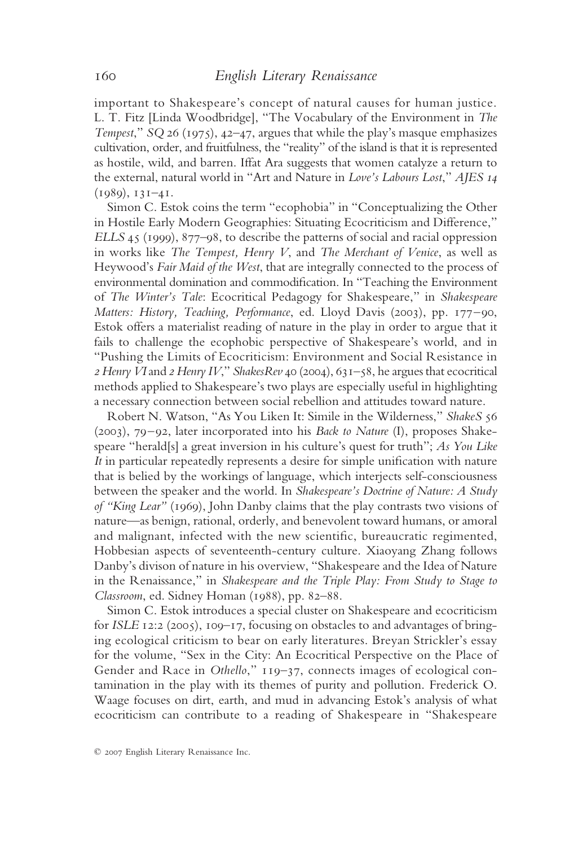important to Shakespeare's concept of natural causes for human justice. L. T. Fitz [Linda Woodbridge], "The Vocabulary of the Environment in *The Tempest*," *SQ* 26 (1975), 42–47, argues that while the play's masque emphasizes cultivation, order, and fruitfulness, the "reality" of the island is that it is represented as hostile, wild, and barren. Iffat Ara suggests that women catalyze a return to the external, natural world in "Art and Nature in *Love's Labours Lost*," *AJES 14* (1989), 131–41.

Simon C. Estok coins the term "ecophobia" in "Conceptualizing the Other in Hostile Early Modern Geographies: Situating Ecocriticism and Difference," *ELLS* 45 (1999), 877–98, to describe the patterns of social and racial oppression in works like *The Tempest, Henry V*, and *The Merchant of Venice*, as well as Heywood's *Fair Maid of the West*, that are integrally connected to the process of environmental domination and commodification. In "Teaching the Environment of *The Winter's Tale*: Ecocritical Pedagogy for Shakespeare," in *Shakespeare Matters: History, Teaching, Performance*, ed. Lloyd Davis (2003), pp. 177–90, Estok offers a materialist reading of nature in the play in order to argue that it fails to challenge the ecophobic perspective of Shakespeare's world, and in "Pushing the Limits of Ecocriticism: Environment and Social Resistance in *2 Henry VI*and *2 Henry IV*," *ShakesRev* 40 (2004), 631–58, he argues that ecocritical methods applied to Shakespeare's two plays are especially useful in highlighting a necessary connection between social rebellion and attitudes toward nature.

Robert N. Watson, "As You Liken It: Simile in the Wilderness," *ShakeS* 56 (2003), 79–92, later incorporated into his *Back to Nature* (I), proposes Shakespeare "herald[s] a great inversion in his culture's quest for truth"; *As You Like It* in particular repeatedly represents a desire for simple unification with nature that is belied by the workings of language, which interjects self-consciousness between the speaker and the world. In *Shakespeare's Doctrine of Nature: A Study of "King Lear"* (1969), John Danby claims that the play contrasts two visions of nature—as benign, rational, orderly, and benevolent toward humans, or amoral and malignant, infected with the new scientific, bureaucratic regimented, Hobbesian aspects of seventeenth-century culture. Xiaoyang Zhang follows Danby's divison of nature in his overview, "Shakespeare and the Idea of Nature in the Renaissance," in *Shakespeare and the Triple Play: From Study to Stage to Classroom*, ed. Sidney Homan (1988), pp. 82–88.

Simon C. Estok introduces a special cluster on Shakespeare and ecocriticism for *ISLE* 12:2 (2005), 109–17, focusing on obstacles to and advantages of bringing ecological criticism to bear on early literatures. Breyan Strickler's essay for the volume, "Sex in the City: An Ecocritical Perspective on the Place of Gender and Race in *Othello*," 119–37, connects images of ecological contamination in the play with its themes of purity and pollution. Frederick O. Waage focuses on dirt, earth, and mud in advancing Estok's analysis of what ecocriticism can contribute to a reading of Shakespeare in "Shakespeare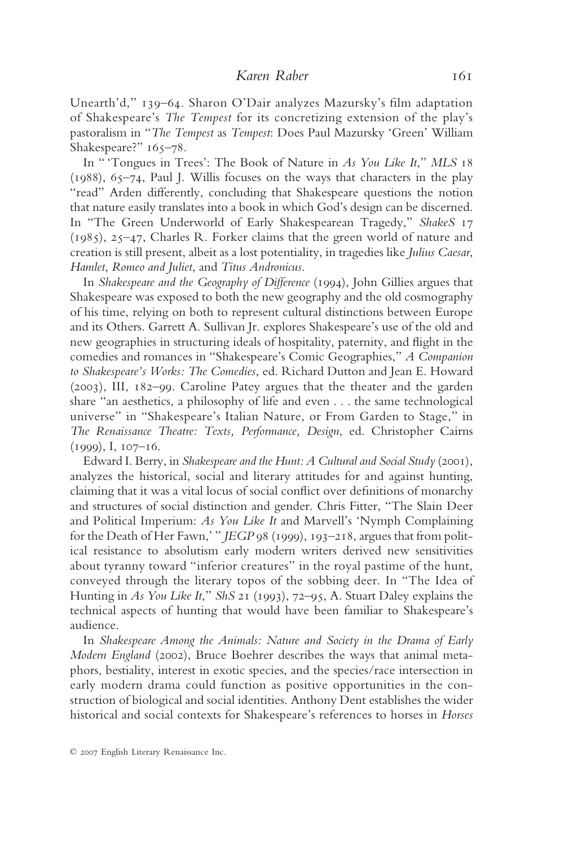Unearth'd," 139–64. Sharon O'Dair analyzes Mazursky's film adaptation of Shakespeare's *The Tempest* for its concretizing extension of the play's pastoralism in "*The Tempest* as *Tempest*: Does Paul Mazursky 'Green' William Shakespeare?" 165–78.

In " 'Tongues in Trees': The Book of Nature in *As You Like It*," *MLS* 18 (1988), 65–74, Paul J. Willis focuses on the ways that characters in the play "read" Arden differently, concluding that Shakespeare questions the notion that nature easily translates into a book in which God's design can be discerned. In "The Green Underworld of Early Shakespearean Tragedy," *ShakeS* 17 (1985), 25–47, Charles R. Forker claims that the green world of nature and creation is still present, albeit as a lost potentiality, in tragedies like *Julius Caesar*, *Hamlet*, *Romeo and Juliet*, and *Titus Andronicus*.

In *Shakespeare and the Geography of Difference* (1994), John Gillies argues that Shakespeare was exposed to both the new geography and the old cosmography of his time, relying on both to represent cultural distinctions between Europe and its Others. Garrett A. Sullivan Jr. explores Shakespeare's use of the old and new geographies in structuring ideals of hospitality, paternity, and flight in the comedies and romances in "Shakespeare's Comic Geographies," *A Companion to Shakespeare's Works: The Comedies*, ed. Richard Dutton and Jean E. Howard (2003), III, 182–99. Caroline Patey argues that the theater and the garden share "an aesthetics, a philosophy of life and even . . . the same technological universe" in "Shakespeare's Italian Nature, or From Garden to Stage," in *The Renaissance Theatre: Texts, Performance, Design*, ed. Christopher Cairns (1999), I, 107–16.

Edward I. Berry, in *Shakespeare and the Hunt: A Cultural and Social Study* (2001), analyzes the historical, social and literary attitudes for and against hunting, claiming that it was a vital locus of social conflict over definitions of monarchy and structures of social distinction and gender. Chris Fitter, "The Slain Deer and Political Imperium: *As You Like It* and Marvell's 'Nymph Complaining for the Death of Her Fawn,' " *JEGP* 98 (1999), 193–218, argues that from political resistance to absolutism early modern writers derived new sensitivities about tyranny toward "inferior creatures" in the royal pastime of the hunt, conveyed through the literary topos of the sobbing deer. In "The Idea of Hunting in *As You Like It*," *ShS* 21 (1993), 72–95, A. Stuart Daley explains the technical aspects of hunting that would have been familiar to Shakespeare's audience.

In *Shakespeare Among the Animals: Nature and Society in the Drama of Early Modern England* (2002), Bruce Boehrer describes the ways that animal metaphors, bestiality, interest in exotic species, and the species/race intersection in early modern drama could function as positive opportunities in the construction of biological and social identities. Anthony Dent establishes the wider historical and social contexts for Shakespeare's references to horses in *Horses*

<sup>© 2007</sup> English Literary Renaissance Inc.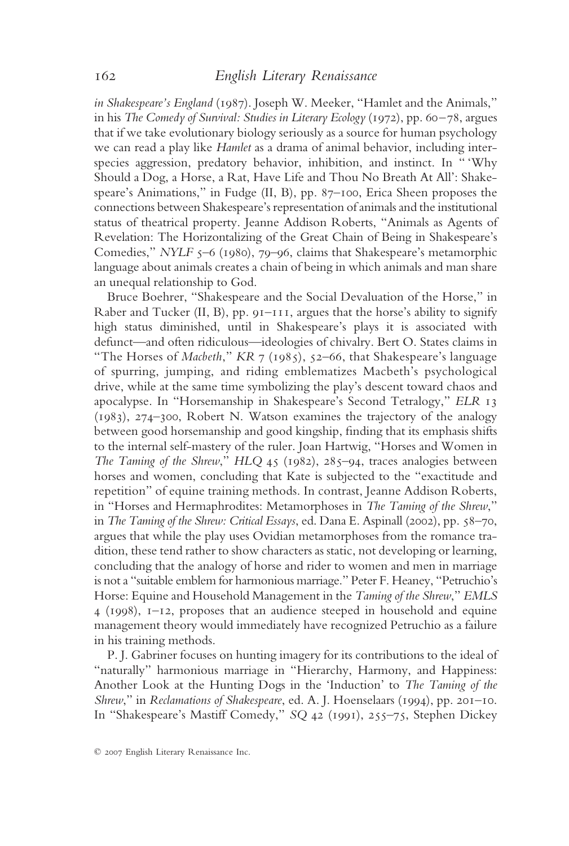*in Shakespeare's England* (1987). Joseph W. Meeker, "Hamlet and the Animals," in his *The Comedy of Survival: Studies in Literary Ecology* (1972), pp. 60–78, argues that if we take evolutionary biology seriously as a source for human psychology we can read a play like *Hamlet* as a drama of animal behavior, including interspecies aggression, predatory behavior, inhibition, and instinct. In " 'Why Should a Dog, a Horse, a Rat, Have Life and Thou No Breath At All': Shakespeare's Animations," in Fudge (II, B), pp. 87–100, Erica Sheen proposes the connections between Shakespeare's representation of animals and the institutional status of theatrical property. Jeanne Addison Roberts, "Animals as Agents of Revelation: The Horizontalizing of the Great Chain of Being in Shakespeare's Comedies," *NYLF* 5–6 (1980), 79–96, claims that Shakespeare's metamorphic language about animals creates a chain of being in which animals and man share an unequal relationship to God.

Bruce Boehrer, "Shakespeare and the Social Devaluation of the Horse," in Raber and Tucker (II, B),  $pp. 9I-III$ , argues that the horse's ability to signify high status diminished, until in Shakespeare's plays it is associated with defunct—and often ridiculous—ideologies of chivalry. Bert O. States claims in "The Horses of *Macbeth*," *KR* 7 (1985), 52–66, that Shakespeare's language of spurring, jumping, and riding emblematizes Macbeth's psychological drive, while at the same time symbolizing the play's descent toward chaos and apocalypse. In "Horsemanship in Shakespeare's Second Tetralogy," *ELR* 13 (1983), 274–300, Robert N. Watson examines the trajectory of the analogy between good horsemanship and good kingship, finding that its emphasis shifts to the internal self-mastery of the ruler. Joan Hartwig, "Horses and Women in *The Taming of the Shrew*," *HLQ* 45 (1982), 285–94, traces analogies between horses and women, concluding that Kate is subjected to the "exactitude and repetition" of equine training methods. In contrast, Jeanne Addison Roberts, in "Horses and Hermaphrodites: Metamorphoses in *The Taming of the Shrew*," in *The Taming of the Shrew: Critical Essays*, ed. Dana E. Aspinall (2002), pp. 58–70, argues that while the play uses Ovidian metamorphoses from the romance tradition, these tend rather to show characters as static, not developing or learning, concluding that the analogy of horse and rider to women and men in marriage is not a "suitable emblem for harmonious marriage." Peter F. Heaney, "Petruchio's Horse: Equine and Household Management in the *Taming of the Shrew*," *EMLS* 4 (1998), 1–12, proposes that an audience steeped in household and equine management theory would immediately have recognized Petruchio as a failure in his training methods.

P. J. Gabriner focuses on hunting imagery for its contributions to the ideal of "naturally" harmonious marriage in "Hierarchy, Harmony, and Happiness: Another Look at the Hunting Dogs in the 'Induction' to *The Taming of the Shrew*," in *Reclamations of Shakespeare*, ed. A. J. Hoenselaars (1994), pp. 201–10. In "Shakespeare's Mastiff Comedy," *SQ* 42 (1991), 255–75, Stephen Dickey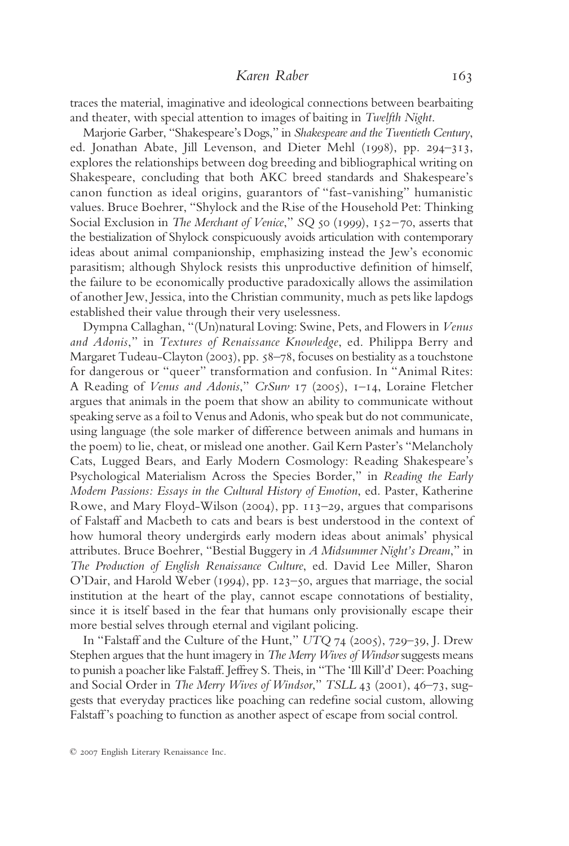traces the material, imaginative and ideological connections between bearbaiting and theater, with special attention to images of baiting in *Twelfth Night*.

Marjorie Garber, "Shakespeare's Dogs," in *Shakespeare and the Twentieth Century*, ed. Jonathan Abate, Jill Levenson, and Dieter Mehl (1998), pp. 294–313, explores the relationships between dog breeding and bibliographical writing on Shakespeare, concluding that both AKC breed standards and Shakespeare's canon function as ideal origins, guarantors of "fast-vanishing" humanistic values. Bruce Boehrer, "Shylock and the Rise of the Household Pet: Thinking Social Exclusion in *The Merchant of Venice*," *SQ* 50 (1999), 152–70, asserts that the bestialization of Shylock conspicuously avoids articulation with contemporary ideas about animal companionship, emphasizing instead the Jew's economic parasitism; although Shylock resists this unproductive definition of himself, the failure to be economically productive paradoxically allows the assimilation of another Jew, Jessica, into the Christian community, much as pets like lapdogs established their value through their very uselessness.

Dympna Callaghan, "(Un)natural Loving: Swine, Pets, and Flowers in *Venus and Adonis*," in *Textures of Renaissance Knowledge*, ed. Philippa Berry and Margaret Tudeau-Clayton (2003), pp. 58–78, focuses on bestiality as a touchstone for dangerous or "queer" transformation and confusion. In "Animal Rites: A Reading of *Venus and Adonis*," *CrSurv* 17 (2005), 1–14, Loraine Fletcher argues that animals in the poem that show an ability to communicate without speaking serve as a foil to Venus and Adonis, who speak but do not communicate, using language (the sole marker of difference between animals and humans in the poem) to lie, cheat, or mislead one another. Gail Kern Paster's "Melancholy Cats, Lugged Bears, and Early Modern Cosmology: Reading Shakespeare's Psychological Materialism Across the Species Border," in *Reading the Early Modern Passions: Essays in the Cultural History of Emotion*, ed. Paster, Katherine Rowe, and Mary Floyd-Wilson (2004), pp. 113–29, argues that comparisons of Falstaff and Macbeth to cats and bears is best understood in the context of how humoral theory undergirds early modern ideas about animals' physical attributes. Bruce Boehrer, "Bestial Buggery in *A Midsummer Night's Dream*," in *The Production of English Renaissance Culture*, ed. David Lee Miller, Sharon O'Dair, and Harold Weber (1994), pp. 123–50, argues that marriage, the social institution at the heart of the play, cannot escape connotations of bestiality, since it is itself based in the fear that humans only provisionally escape their more bestial selves through eternal and vigilant policing.

In "Falstaff and the Culture of the Hunt," *UTQ* 74 (2005), 729–39, J. Drew Stephen argues that the hunt imagery in *The Merry Wives of Windsor* suggests means to punish a poacher like Falstaff. Jeffrey S. Theis, in "The 'Ill Kill'd' Deer: Poaching and Social Order in *The Merry Wives of Windsor*," *TSLL* 43 (2001), 46–73, suggests that everyday practices like poaching can redefine social custom, allowing Falstaff's poaching to function as another aspect of escape from social control.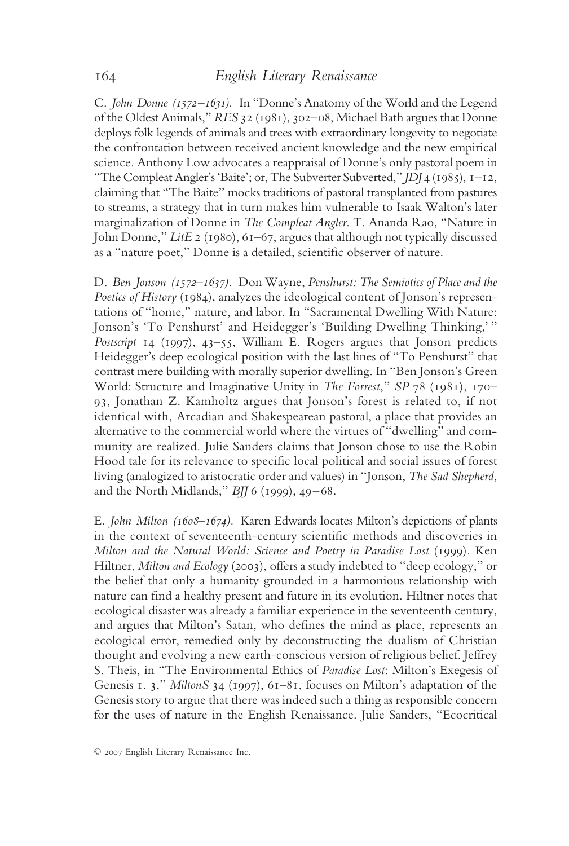C. *John Donne (1572–1631).* In "Donne's Anatomy of the World and the Legend of the Oldest Animals," *RES* 32 (1981), 302–08, Michael Bath argues that Donne deploys folk legends of animals and trees with extraordinary longevity to negotiate the confrontation between received ancient knowledge and the new empirical science. Anthony Low advocates a reappraisal of Donne's only pastoral poem in "The Compleat Angler's 'Baite'; or, The Subverter Subverted," *JDJ* 4 (1985), 1–12, claiming that "The Baite" mocks traditions of pastoral transplanted from pastures to streams, a strategy that in turn makes him vulnerable to Isaak Walton's later marginalization of Donne in *The Compleat Angler*. T. Ananda Rao, "Nature in John Donne," *LitE* 2 (1980), 61–67, argues that although not typically discussed as a "nature poet," Donne is a detailed, scientific observer of nature.

D. *Ben Jonson (1572–1637).* Don Wayne, *Penshurst: The Semiotics of Place and the Poetics of History* (1984), analyzes the ideological content of Jonson's representations of "home," nature, and labor. In "Sacramental Dwelling With Nature: Jonson's 'To Penshurst' and Heidegger's 'Building Dwelling Thinking,' " *Postscript* 14 (1997), 43–55, William E. Rogers argues that Jonson predicts Heidegger's deep ecological position with the last lines of "To Penshurst" that contrast mere building with morally superior dwelling. In "Ben Jonson's Green World: Structure and Imaginative Unity in *The Forrest*," *SP* 78 (1981), 170– 93, Jonathan Z. Kamholtz argues that Jonson's forest is related to, if not identical with, Arcadian and Shakespearean pastoral, a place that provides an alternative to the commercial world where the virtues of "dwelling" and community are realized. Julie Sanders claims that Jonson chose to use the Robin Hood tale for its relevance to specific local political and social issues of forest living (analogized to aristocratic order and values) in "Jonson, *The Sad Shepherd*, and the North Midlands," *BJJ* 6 (1999), 49–68.

E. *John Milton (1608–1674).* Karen Edwards locates Milton's depictions of plants in the context of seventeenth-century scientific methods and discoveries in *Milton and the Natural World: Science and Poetry in Paradise Lost* (1999). Ken Hiltner, *Milton and Ecology* (2003), offers a study indebted to "deep ecology," or the belief that only a humanity grounded in a harmonious relationship with nature can find a healthy present and future in its evolution. Hiltner notes that ecological disaster was already a familiar experience in the seventeenth century, and argues that Milton's Satan, who defines the mind as place, represents an ecological error, remedied only by deconstructing the dualism of Christian thought and evolving a new earth-conscious version of religious belief. Jeffrey S. Theis, in "The Environmental Ethics of *Paradise Lost*: Milton's Exegesis of Genesis 1. 3," *MiltonS* 34 (1997), 61–81, focuses on Milton's adaptation of the Genesis story to argue that there was indeed such a thing as responsible concern for the uses of nature in the English Renaissance. Julie Sanders, "Ecocritical

<sup>© 2007</sup> English Literary Renaissance Inc.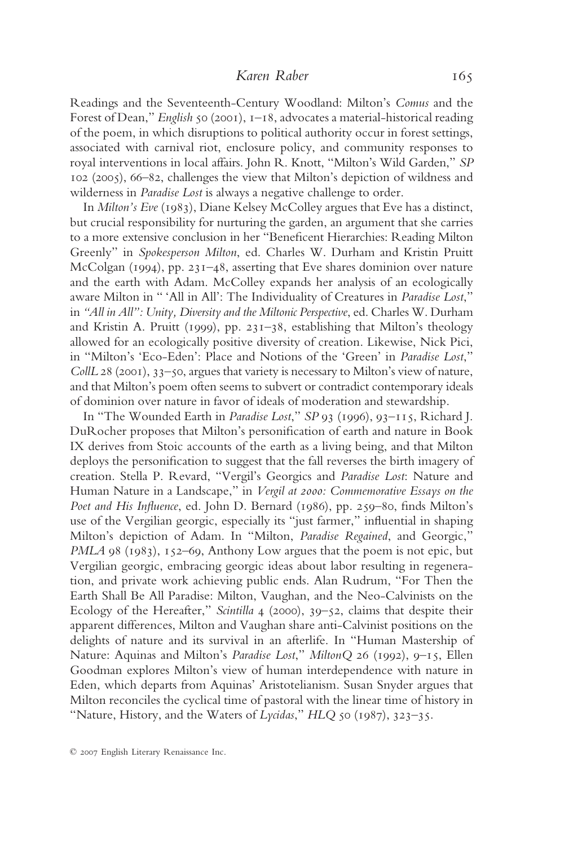Readings and the Seventeenth-Century Woodland: Milton's *Comus* and the Forest of Dean," *English* 50 (2001), 1–18, advocates a material-historical reading of the poem, in which disruptions to political authority occur in forest settings, associated with carnival riot, enclosure policy, and community responses to royal interventions in local affairs. John R. Knott, "Milton's Wild Garden," *SP* 102 (2005), 66–82, challenges the view that Milton's depiction of wildness and wilderness in *Paradise Lost* is always a negative challenge to order.

In *Milton's Eve* (1983), Diane Kelsey McColley argues that Eve has a distinct, but crucial responsibility for nurturing the garden, an argument that she carries to a more extensive conclusion in her "Beneficent Hierarchies: Reading Milton Greenly" in *Spokesperson Milton*, ed. Charles W. Durham and Kristin Pruitt McColgan (1994), pp. 231–48, asserting that Eve shares dominion over nature and the earth with Adam. McColley expands her analysis of an ecologically aware Milton in " 'All in All': The Individuality of Creatures in *Paradise Lost*," in *"All in All": Unity, Diversity and the Miltonic Perspective*, ed. Charles W. Durham and Kristin A. Pruitt (1999), pp. 231–38, establishing that Milton's theology allowed for an ecologically positive diversity of creation. Likewise, Nick Pici, in "Milton's 'Eco-Eden': Place and Notions of the 'Green' in *Paradise Lost*," *CollL* 28 (2001), 33–50, argues that variety is necessary to Milton's view of nature, and that Milton's poem often seems to subvert or contradict contemporary ideals of dominion over nature in favor of ideals of moderation and stewardship.

In "The Wounded Earth in *Paradise Lost*," *SP* 93 (1996), 93–115, Richard J. DuRocher proposes that Milton's personification of earth and nature in Book IX derives from Stoic accounts of the earth as a living being, and that Milton deploys the personification to suggest that the fall reverses the birth imagery of creation. Stella P. Revard, "Vergil's Georgics and *Paradise Lost*: Nature and Human Nature in a Landscape," in *Vergil at 2000: Commemorative Essays on the Poet and His Influence*, ed. John D. Bernard (1986), pp. 259–80, finds Milton's use of the Vergilian georgic, especially its "just farmer," influential in shaping Milton's depiction of Adam. In "Milton, *Paradise Regained*, and Georgic," *PMLA* 98 (1983), 152–69, Anthony Low argues that the poem is not epic, but Vergilian georgic, embracing georgic ideas about labor resulting in regeneration, and private work achieving public ends. Alan Rudrum, "For Then the Earth Shall Be All Paradise: Milton, Vaughan, and the Neo-Calvinists on the Ecology of the Hereafter," *Scintilla* 4 (2000), 39–52, claims that despite their apparent differences, Milton and Vaughan share anti-Calvinist positions on the delights of nature and its survival in an afterlife. In "Human Mastership of Nature: Aquinas and Milton's *Paradise Lost*," *MiltonQ* 26 (1992), 9–15, Ellen Goodman explores Milton's view of human interdependence with nature in Eden, which departs from Aquinas' Aristotelianism. Susan Snyder argues that Milton reconciles the cyclical time of pastoral with the linear time of history in "Nature, History, and the Waters of *Lycidas*," *HLQ* 50 (1987), 323–35.

<sup>© 2007</sup> English Literary Renaissance Inc.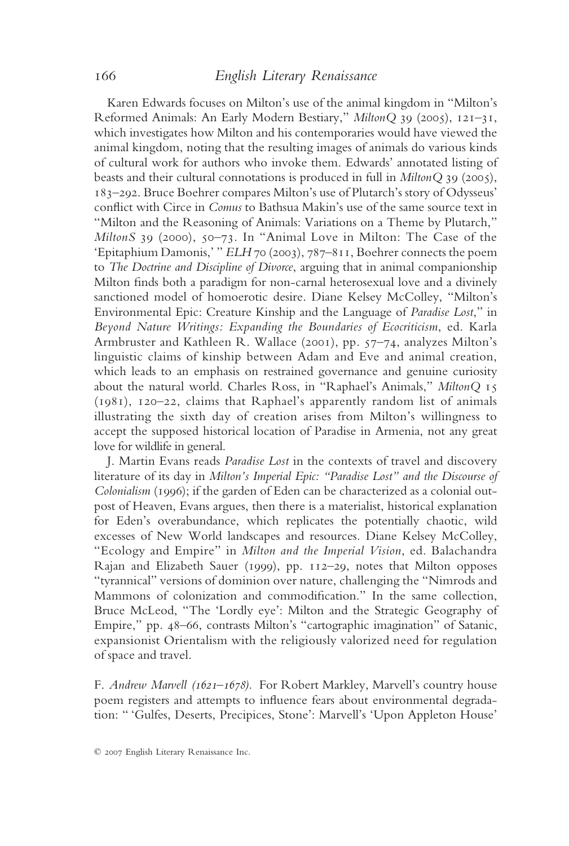Karen Edwards focuses on Milton's use of the animal kingdom in "Milton's Reformed Animals: An Early Modern Bestiary," *MiltonQ* 39 (2005), 121–31, which investigates how Milton and his contemporaries would have viewed the animal kingdom, noting that the resulting images of animals do various kinds of cultural work for authors who invoke them. Edwards' annotated listing of beasts and their cultural connotations is produced in full in *MiltonQ* 39 (2005), 183–292. Bruce Boehrer compares Milton's use of Plutarch's story of Odysseus' conflict with Circe in *Comus* to Bathsua Makin's use of the same source text in "Milton and the Reasoning of Animals: Variations on a Theme by Plutarch," *MiltonS* 39 (2000), 50–73. In "Animal Love in Milton: The Case of the 'Epitaphium Damonis,' " *ELH* 70 (2003), 787–811, Boehrer connects the poem to *The Doctrine and Discipline of Divorce*, arguing that in animal companionship Milton finds both a paradigm for non-carnal heterosexual love and a divinely sanctioned model of homoerotic desire. Diane Kelsey McColley, "Milton's Environmental Epic: Creature Kinship and the Language of *Paradise Lost*," in *Beyond Nature Writings: Expanding the Boundaries of Ecocriticism*, ed. Karla Armbruster and Kathleen R. Wallace (2001), pp. 57–74, analyzes Milton's linguistic claims of kinship between Adam and Eve and animal creation, which leads to an emphasis on restrained governance and genuine curiosity about the natural world. Charles Ross, in "Raphael's Animals," *MiltonQ* 15 (1981), 120–22, claims that Raphael's apparently random list of animals illustrating the sixth day of creation arises from Milton's willingness to accept the supposed historical location of Paradise in Armenia, not any great love for wildlife in general.

J. Martin Evans reads *Paradise Lost* in the contexts of travel and discovery literature of its day in *Milton's Imperial Epic: "Paradise Lost" and the Discourse of Colonialism* (1996); if the garden of Eden can be characterized as a colonial outpost of Heaven, Evans argues, then there is a materialist, historical explanation for Eden's overabundance, which replicates the potentially chaotic, wild excesses of New World landscapes and resources. Diane Kelsey McColley, "Ecology and Empire" in *Milton and the Imperial Vision*, ed. Balachandra Rajan and Elizabeth Sauer (1999), pp. 112–29, notes that Milton opposes "tyrannical" versions of dominion over nature, challenging the "Nimrods and Mammons of colonization and commodification." In the same collection, Bruce McLeod, "The 'Lordly eye': Milton and the Strategic Geography of Empire," pp. 48–66, contrasts Milton's "cartographic imagination" of Satanic, expansionist Orientalism with the religiously valorized need for regulation of space and travel.

F. *Andrew Marvell (1621–1678).* For Robert Markley, Marvell's country house poem registers and attempts to influence fears about environmental degradation: " 'Gulfes, Deserts, Precipices, Stone': Marvell's 'Upon Appleton House'

<sup>© 2007</sup> English Literary Renaissance Inc.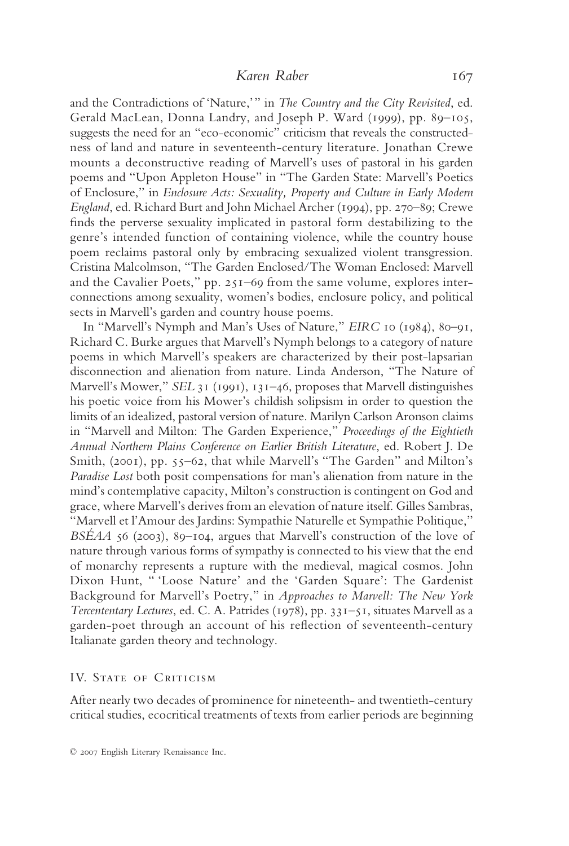and the Contradictions of 'Nature,'" in *The Country and the City Revisited*, ed. Gerald MacLean, Donna Landry, and Joseph P. Ward (1999), pp. 89–105, suggests the need for an "eco-economic" criticism that reveals the constructedness of land and nature in seventeenth-century literature. Jonathan Crewe mounts a deconstructive reading of Marvell's uses of pastoral in his garden poems and "Upon Appleton House" in "The Garden State: Marvell's Poetics of Enclosure," in *Enclosure Acts: Sexuality, Property and Culture in Early Modern England*, ed. Richard Burt and John Michael Archer (1994), pp. 270–89; Crewe finds the perverse sexuality implicated in pastoral form destabilizing to the genre's intended function of containing violence, while the country house poem reclaims pastoral only by embracing sexualized violent transgression. Cristina Malcolmson, "The Garden Enclosed/The Woman Enclosed: Marvell and the Cavalier Poets," pp. 251–69 from the same volume, explores interconnections among sexuality, women's bodies, enclosure policy, and political sects in Marvell's garden and country house poems.

In "Marvell's Nymph and Man's Uses of Nature," *EIRC* 10 (1984), 80–91, Richard C. Burke argues that Marvell's Nymph belongs to a category of nature poems in which Marvell's speakers are characterized by their post-lapsarian disconnection and alienation from nature. Linda Anderson, "The Nature of Marvell's Mower," *SEL* 31 (1991), 131–46, proposes that Marvell distinguishes his poetic voice from his Mower's childish solipsism in order to question the limits of an idealized, pastoral version of nature. Marilyn Carlson Aronson claims in "Marvell and Milton: The Garden Experience," *Proceedings of the Eightieth Annual Northern Plains Conference on Earlier British Literature*, ed. Robert J. De Smith, (2001), pp. 55–62, that while Marvell's "The Garden" and Milton's *Paradise Lost* both posit compensations for man's alienation from nature in the mind's contemplative capacity, Milton's construction is contingent on God and grace, where Marvell's derives from an elevation of nature itself. Gilles Sambras, "Marvell et l'Amour des Jardins: Sympathie Naturelle et Sympathie Politique," *BSÉAA* 56 (2003), 89–104, argues that Marvell's construction of the love of nature through various forms of sympathy is connected to his view that the end of monarchy represents a rupture with the medieval, magical cosmos. John Dixon Hunt, " 'Loose Nature' and the 'Garden Square': The Gardenist Background for Marvell's Poetry," in *Approaches to Marvell: The New York Tercententary Lectures*, ed. C. A. Patrides (1978), pp. 331–51, situates Marvell as a garden-poet through an account of his reflection of seventeenth-century Italianate garden theory and technology.

#### IV. STATE OF CRITICISM

After nearly two decades of prominence for nineteenth- and twentieth-century critical studies, ecocritical treatments of texts from earlier periods are beginning

<sup>© 2007</sup> English Literary Renaissance Inc.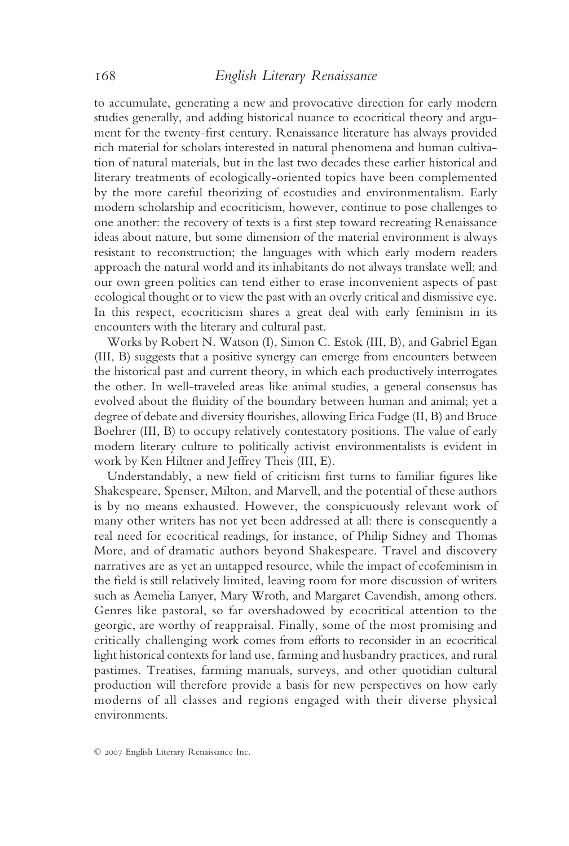to accumulate, generating a new and provocative direction for early modern studies generally, and adding historical nuance to ecocritical theory and argument for the twenty-first century. Renaissance literature has always provided rich material for scholars interested in natural phenomena and human cultivation of natural materials, but in the last two decades these earlier historical and literary treatments of ecologically-oriented topics have been complemented by the more careful theorizing of ecostudies and environmentalism. Early modern scholarship and ecocriticism, however, continue to pose challenges to one another: the recovery of texts is a first step toward recreating Renaissance ideas about nature, but some dimension of the material environment is always resistant to reconstruction; the languages with which early modern readers approach the natural world and its inhabitants do not always translate well; and our own green politics can tend either to erase inconvenient aspects of past ecological thought or to view the past with an overly critical and dismissive eye. In this respect, ecocriticism shares a great deal with early feminism in its encounters with the literary and cultural past.

Works by Robert N. Watson (I), Simon C. Estok (III, B), and Gabriel Egan (III, B) suggests that a positive synergy can emerge from encounters between the historical past and current theory, in which each productively interrogates the other. In well-traveled areas like animal studies, a general consensus has evolved about the fluidity of the boundary between human and animal; yet a degree of debate and diversity flourishes, allowing Erica Fudge (II, B) and Bruce Boehrer (III, B) to occupy relatively contestatory positions. The value of early modern literary culture to politically activist environmentalists is evident in work by Ken Hiltner and Jeffrey Theis (III, E).

Understandably, a new field of criticism first turns to familiar figures like Shakespeare, Spenser, Milton, and Marvell, and the potential of these authors is by no means exhausted. However, the conspicuously relevant work of many other writers has not yet been addressed at all: there is consequently a real need for ecocritical readings, for instance, of Philip Sidney and Thomas More, and of dramatic authors beyond Shakespeare. Travel and discovery narratives are as yet an untapped resource, while the impact of ecofeminism in the field is still relatively limited, leaving room for more discussion of writers such as Aemelia Lanyer, Mary Wroth, and Margaret Cavendish, among others. Genres like pastoral, so far overshadowed by ecocritical attention to the georgic, are worthy of reappraisal. Finally, some of the most promising and critically challenging work comes from efforts to reconsider in an ecocritical light historical contexts for land use, farming and husbandry practices, and rural pastimes. Treatises, farming manuals, surveys, and other quotidian cultural production will therefore provide a basis for new perspectives on how early moderns of all classes and regions engaged with their diverse physical environments.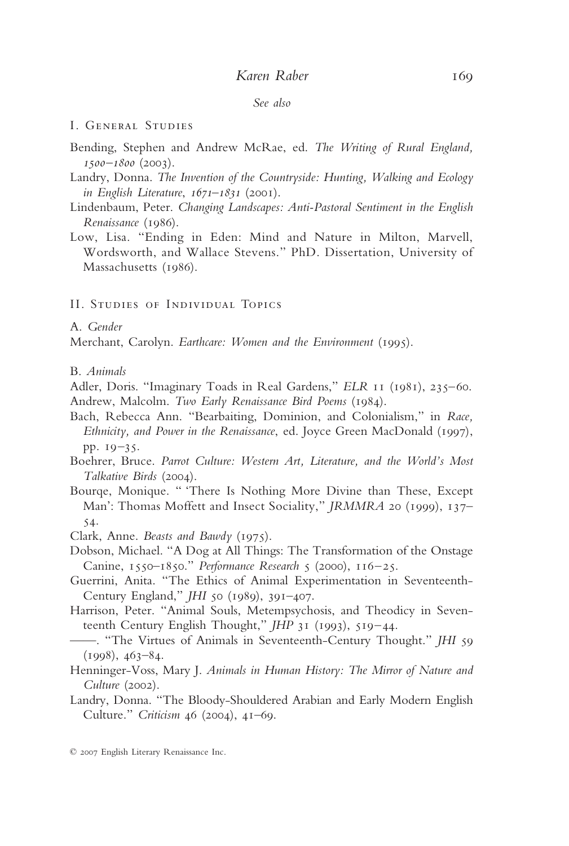#### *See also*

#### I. General Studies

- Bending, Stephen and Andrew McRae, ed. *The Writing of Rural England, 1500–1800* (2003).
- Landry, Donna. *The Invention of the Countryside: Hunting, Walking and Ecology in English Literature*, *1671–1831* (2001).
- Lindenbaum, Peter. *Changing Landscapes: Anti-Pastoral Sentiment in the English Renaissance* (1986).
- Low, Lisa. "Ending in Eden: Mind and Nature in Milton, Marvell, Wordsworth, and Wallace Stevens." PhD. Dissertation, University of Massachusetts (1986).

#### II. Studies of Individual Topics

A. *Gender*

Merchant, Carolyn. *Earthcare: Women and the Environment* (1995).

B. *Animals*

- Adler, Doris. "Imaginary Toads in Real Gardens," *ELR* 11 (1981), 235–60. Andrew, Malcolm. *Two Early Renaissance Bird Poems* (1984).
- Bach, Rebecca Ann. "Bearbaiting, Dominion, and Colonialism," in *Race, Ethnicity, and Power in the Renaissance*, ed. Joyce Green MacDonald (1997), pp. 19–35.
- Boehrer, Bruce. *Parrot Culture: Western Art, Literature, and the World's Most Talkative Birds* (2004).
- Bourqe, Monique. " 'There Is Nothing More Divine than These, Except Man': Thomas Moffett and Insect Sociality," *JRMMRA* 20 (1999), 137– 54.
- Clark, Anne. *Beasts and Bawdy* (1975).
- Dobson, Michael. "A Dog at All Things: The Transformation of the Onstage Canine, 1550–1850." *Performance Research* 5 (2000), 116–25.
- Guerrini, Anita. "The Ethics of Animal Experimentation in Seventeenth-Century England," *JHI* 50 (1989), 391–407.
- Harrison, Peter. "Animal Souls, Metempsychosis, and Theodicy in Seventeenth Century English Thought," *JHP* 31 (1993), 519–44.
- ——. "The Virtues of Animals in Seventeenth-Century Thought." *JHI* 59  $(1998), 463-84.$
- Henninger-Voss, Mary J. *Animals in Human History: The Mirror of Nature and Culture* (2002).
- Landry, Donna. "The Bloody-Shouldered Arabian and Early Modern English Culture." *Criticism* 46 (2004), 41–69.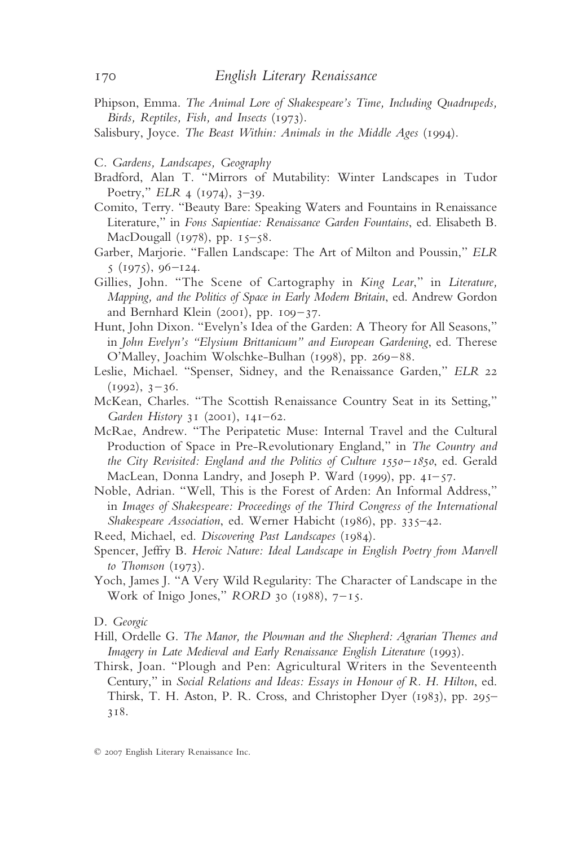- Phipson, Emma. *The Animal Lore of Shakespeare's Time, Including Quadrupeds, Birds, Reptiles, Fish, and Insects* (1973).
- Salisbury, Joyce. *The Beast Within: Animals in the Middle Ages* (1994).
- C. *Gardens, Landscapes, Geography*
- Bradford, Alan T. "Mirrors of Mutability: Winter Landscapes in Tudor Poetry," *ELR* 4 (1974), 3–39.
- Comito, Terry. "Beauty Bare: Speaking Waters and Fountains in Renaissance Literature," in *Fons Sapientiae: Renaissance Garden Fountains*, ed. Elisabeth B. MacDougall (1978), pp. 15–58.
- Garber, Marjorie. "Fallen Landscape: The Art of Milton and Poussin," *ELR* 5 (1975), 96–124.
- Gillies, John. "The Scene of Cartography in *King Lear*," in *Literature, Mapping, and the Politics of Space in Early Modern Britain*, ed. Andrew Gordon and Bernhard Klein (2001), pp. 109–37.
- Hunt, John Dixon. "Evelyn's Idea of the Garden: A Theory for All Seasons," in *John Evelyn's "Elysium Brittanicum" and European Gardening*, ed. Therese O'Malley, Joachim Wolschke-Bulhan (1998), pp. 269–88.
- Leslie, Michael. "Spenser, Sidney, and the Renaissance Garden," *ELR* 22  $(1992), 3-36.$
- McKean, Charles. "The Scottish Renaissance Country Seat in its Setting," *Garden History* 31 (2001), 141–62.
- McRae, Andrew. "The Peripatetic Muse: Internal Travel and the Cultural Production of Space in Pre-Revolutionary England," in *The Country and the City Revisited: England and the Politics of Culture 1550–1850*, ed. Gerald MacLean, Donna Landry, and Joseph P. Ward (1999), pp. 41–57.
- Noble, Adrian. "Well, This is the Forest of Arden: An Informal Address," in *Images of Shakespeare: Proceedings of the Third Congress of the International Shakespeare Association*, ed. Werner Habicht (1986), pp. 335–42.

Reed, Michael, ed. *Discovering Past Landscapes* (1984).

- Spencer, Jeffry B. *Heroic Nature: Ideal Landscape in English Poetry from Marvell to Thomson* (1973).
- Yoch, James J. "A Very Wild Regularity: The Character of Landscape in the Work of Inigo Jones," *RORD* 30 (1988), 7–15.

- Hill, Ordelle G. *The Manor, the Plowman and the Shepherd: Agrarian Themes and Imagery in Late Medieval and Early Renaissance English Literature* (1993).
- Thirsk, Joan. "Plough and Pen: Agricultural Writers in the Seventeenth Century," in *Social Relations and Ideas: Essays in Honour of R. H. Hilton*, ed. Thirsk, T. H. Aston, P. R. Cross, and Christopher Dyer (1983), pp. 295– 318.

D. *Georgic*